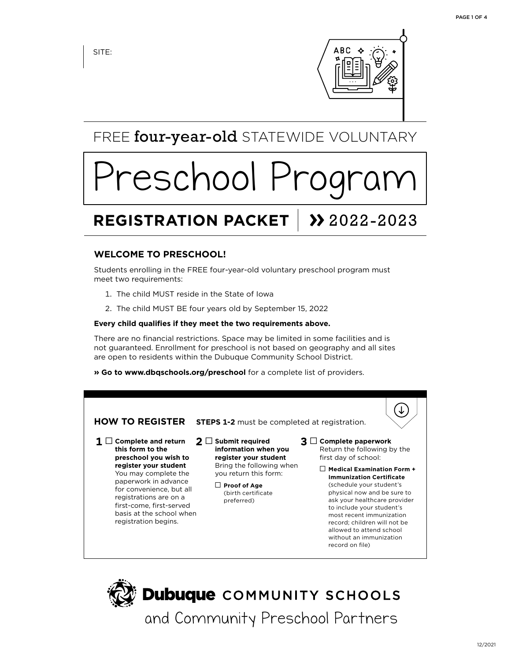SITE:



FREE four-year-old STATEWIDE VOLUNTARY

# reschool Pro

# **REGISTRATION PACKET | >> 2022-2023**

# **WELCOME TO PRESCHOOL!**

Students enrolling in the FREE four-year-old voluntary preschool program must meet two requirements:

- 1. The child MUST reside in the State of Iowa
- 2. The child MUST BE four years old by September 15, 2022

#### **Every child qualifies if they meet the two requirements above.**

There are no financial restrictions. Space may be limited in some facilities and is not guaranteed. Enrollment for preschool is not based on geography and all sites are open to residents within the Dubuque Community School District.

**» Go to www.dbqschools.org/preschool** for a complete list of providers.



**Dubuque** COMMUNITY SCHOOLS

and Community Preschool Partners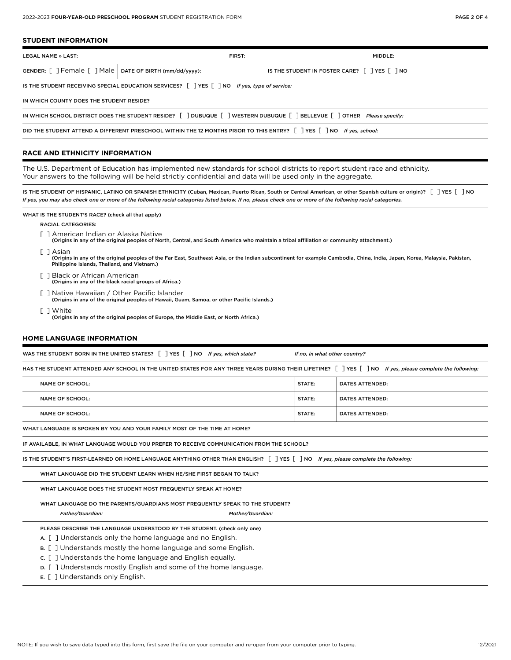#### **STUDENT INFORMATION**

| LEGAL NAME » LAST:                                                                                                       | FIRST: | MIDDLE:                                                                           |  |  |  |
|--------------------------------------------------------------------------------------------------------------------------|--------|-----------------------------------------------------------------------------------|--|--|--|
| GENDER: $\lceil \ \rceil$ Female $\lceil \ \rceil$ Male $\lceil \ \rceil$ DATE OF BIRTH (mm/dd/yyyy):                    |        | IS THE STUDENT IN FOSTER CARE? $\lceil \cdot \rceil$ YES $\lceil \cdot \rceil$ NO |  |  |  |
| IS THE STUDENT RECEIVING SPECIAL EDUCATION SERVICES? [ ] YES [ ] NO If yes, type of service:                             |        |                                                                                   |  |  |  |
| IN WHICH COUNTY DOES THE STUDENT RESIDE?                                                                                 |        |                                                                                   |  |  |  |
| IN WHICH SCHOOL DISTRICT DOES THE STUDENT RESIDE? [ ] DUBUQUE [ ] WESTERN DUBUQUE [ ] BELLEVUE [ ] OTHER Please specify: |        |                                                                                   |  |  |  |
| DID THE STUDENT ATTEND A DIFFERENT PRESCHOOL WITHIN THE 12 MONTHS PRIOR TO THIS ENTRY?   YES   NO If yes, school:        |        |                                                                                   |  |  |  |

#### **RACE AND ETHNICITY INFORMATION**

The U.S. Department of Education has implemented new standards for school districts to report student race and ethnicity. Your answers to the following will be held strictly confidential and data will be used only in the aggregate.

IS THE STUDENT OF HISPANIC, LATINO OR SPANISH ETHNICITY (Cuban, Mexican, Puerto Rican, South or Central American, or other Spanish culture or origin)? [ ] YES [ ] NO *If yes, you may also check one or more of the following racial categories listed below. If no, please check one or more of the following racial categories.*

#### WHAT IS THE STUDENT'S RACE? (check all that apply)

#### RACIAL CATEGORIES:

- [ ] American Indian or Alaska Native
	- (Origins in any of the original peoples of North, Central, and South America who maintain a tribal affiliation or community attachment.)
- 
- [ ] Asian<br>(Origins in any of the original peoples of the Far East, Southeast Asia, or the Indian subcontinent for example Cambodia, China, India, Japan, Korea, Malaysia, Pakistan, Philippine Islands, Thailand, and Vietnam.)
- [ ] Black or African American<br>(Origins in any of the black racial groups of Africa.)
- [ ] Native Hawaiian / Other Pacific Islander<br>(Origins in any of the original peoples of Hawaii, Guam, Samoa, or other Pacific Islands.)
- 
- [ ] White (Origins in any of the original peoples of Europe, the Middle East, or North Africa.)

#### **HOME LANGUAGE INFORMATION**

| WAS THE STUDENT BORN IN THE UNITED STATES? [ ] YES [ ] NO If yes, which state?                                                                                 |                  | If no, in what other country? |                        |
|----------------------------------------------------------------------------------------------------------------------------------------------------------------|------------------|-------------------------------|------------------------|
| HAS THE STUDENT ATTENDED ANY SCHOOL IN THE UNITED STATES FOR ANY THREE YEARS DURING THEIR LIFETIME? [] YES [] NO If yes, please complete the following:        |                  |                               |                        |
| <b>NAME OF SCHOOL:</b>                                                                                                                                         |                  | STATE:                        | <b>DATES ATTENDED:</b> |
| <b>NAME OF SCHOOL:</b>                                                                                                                                         |                  | STATE:                        | <b>DATES ATTENDED:</b> |
| <b>NAME OF SCHOOL:</b>                                                                                                                                         |                  | STATE:                        | <b>DATES ATTENDED:</b> |
| WHAT LANGUAGE IS SPOKEN BY YOU AND YOUR FAMILY MOST OF THE TIME AT HOME?                                                                                       |                  |                               |                        |
| IF AVAILABLE, IN WHAT LANGUAGE WOULD YOU PREFER TO RECEIVE COMMUNICATION FROM THE SCHOOL?                                                                      |                  |                               |                        |
| IS THE STUDENT'S FIRST-LEARNED OR HOME LANGUAGE ANYTHING OTHER THAN ENGLISH? $\lceil \ \rceil$ YES $\lceil \ \rceil$ NO If yes, please complete the following: |                  |                               |                        |
| WHAT LANGUAGE DID THE STUDENT LEARN WHEN HE/SHE FIRST BEGAN TO TALK?                                                                                           |                  |                               |                        |
| WHAT LANGUAGE DOES THE STUDENT MOST FREQUENTLY SPEAK AT HOME?                                                                                                  |                  |                               |                        |
| WHAT LANGUAGE DO THE PARENTS/GUARDIANS MOST FREQUENTLY SPEAK TO THE STUDENT?                                                                                   |                  |                               |                        |
| Father/Guardian:                                                                                                                                               | Mother/Guardian: |                               |                        |
| PLEASE DESCRIBE THE LANGUAGE UNDERSTOOD BY THE STUDENT. (check only one)                                                                                       |                  |                               |                        |
| A. [] Understands only the home language and no English.                                                                                                       |                  |                               |                        |
| $B.$ [] Understands mostly the home language and some English.                                                                                                 |                  |                               |                        |
| c. [] Understands the home language and English equally.                                                                                                       |                  |                               |                        |

- D. [ ] Understands mostly English and some of the home language.
- E. [ ] Understands only English.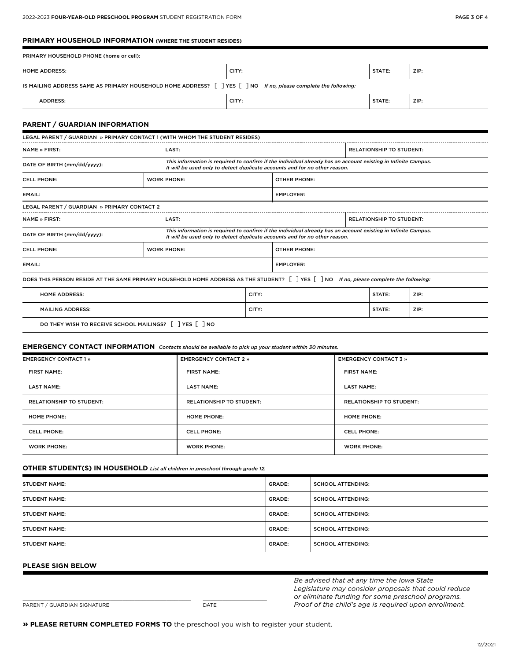#### **PRIMARY HOUSEHOLD INFORMATION (WHERE THE STUDENT RESIDES)**

| PRIMARY HOUSEHOLD PHONE (home or cell):                                                                                                                                                                                    |                    |       |                     |                                 |        |      |
|----------------------------------------------------------------------------------------------------------------------------------------------------------------------------------------------------------------------------|--------------------|-------|---------------------|---------------------------------|--------|------|
| <b>HOME ADDRESS:</b>                                                                                                                                                                                                       |                    | CITY: |                     |                                 | STATE: | ZIP: |
| IS MAILING ADDRESS SAME AS PRIMARY HOUSEHOLD HOME ADDRESS? $\lceil \cdot \rceil$ YES $\lceil \cdot \rceil$ NO If no, please complete the following:                                                                        |                    |       |                     |                                 |        |      |
| <b>ADDRESS:</b>                                                                                                                                                                                                            |                    | CITY: |                     |                                 | STATE: | ZIP: |
| <b>PARENT / GUARDIAN INFORMATION</b><br>LEGAL PARENT / GUARDIAN » PRIMARY CONTACT 1 (WITH WHOM THE STUDENT RESIDES)                                                                                                        |                    |       |                     |                                 |        |      |
| <b>NAME » FIRST:</b>                                                                                                                                                                                                       | LAST:              |       |                     | <b>RELATIONSHIP TO STUDENT:</b> |        |      |
| This information is required to confirm if the individual already has an account existing in Infinite Campus.<br>DATE OF BIRTH (mm/dd/yyyy):<br>It will be used only to detect duplicate accounts and for no other reason. |                    |       |                     |                                 |        |      |
| <b>CELL PHONE:</b>                                                                                                                                                                                                         | <b>WORK PHONE:</b> |       | <b>OTHER PHONE:</b> |                                 |        |      |

| LEGAL PARENT / GUARDIAN » PRIMARY CONTACT 2                                                                                                                                                                                |                    |       |                     |                                 |        |      |  |
|----------------------------------------------------------------------------------------------------------------------------------------------------------------------------------------------------------------------------|--------------------|-------|---------------------|---------------------------------|--------|------|--|
| <b>NAME » FIRST:</b>                                                                                                                                                                                                       | LAST:              |       |                     | <b>RELATIONSHIP TO STUDENT:</b> |        |      |  |
| This information is required to confirm if the individual already has an account existing in Infinite Campus.<br>DATE OF BIRTH (mm/dd/yyyy):<br>It will be used only to detect duplicate accounts and for no other reason. |                    |       |                     |                                 |        |      |  |
| <b>CELL PHONE:</b>                                                                                                                                                                                                         | <b>WORK PHONE:</b> |       | <b>OTHER PHONE:</b> |                                 |        |      |  |
| EMAIL:                                                                                                                                                                                                                     |                    |       | <b>EMPLOYER:</b>    |                                 |        |      |  |
| DOES THIS PERSON RESIDE AT THE SAME PRIMARY HOUSEHOLD HOME ADDRESS AS THE STUDENT? $\lceil \rceil$ YES $\lceil \rceil$ NO If no, please complete the following:                                                            |                    |       |                     |                                 |        |      |  |
| <b>HOME ADDRESS:</b>                                                                                                                                                                                                       |                    | CITY: |                     |                                 | STATE: | ZIP: |  |
| <b>MAILING ADDRESS:</b>                                                                                                                                                                                                    |                    | CITY: |                     |                                 | STATE: | ZIP: |  |
|                                                                                                                                                                                                                            |                    |       |                     |                                 |        |      |  |

## DO THEY WISH TO RECEIVE SCHOOL MAILINGS? [ ] YES [ ] NO

### **EMERGENCY CONTACT INFORMATION** *Contacts should be available to pick up your student within 30 minutes.*

EMAIL: EMPLOYER:

| <b>EMERGENCY CONTACT 1 »</b>    | <b>EMERGENCY CONTACT 2 »</b>    | <b>EMERGENCY CONTACT 3 »</b>    |  |
|---------------------------------|---------------------------------|---------------------------------|--|
| <b>FIRST NAME:</b>              | <b>FIRST NAME:</b>              | <b>FIRST NAME:</b>              |  |
| <b>LAST NAME:</b>               | <b>LAST NAME:</b>               | <b>LAST NAME:</b>               |  |
| <b>RELATIONSHIP TO STUDENT:</b> | <b>RELATIONSHIP TO STUDENT:</b> | <b>RELATIONSHIP TO STUDENT:</b> |  |
| <b>HOME PHONE:</b>              | <b>HOME PHONE:</b>              | <b>HOME PHONE:</b>              |  |
| <b>CELL PHONE:</b>              | <b>CELL PHONE:</b>              | <b>CELL PHONE:</b>              |  |
| <b>WORK PHONE:</b>              | <b>WORK PHONE:</b>              | <b>WORK PHONE:</b>              |  |

#### **OTHER STUDENT(S) IN HOUSEHOLD** *List all children in preschool through grade 12.*

| <b>STUDENT NAME:</b> | <b>GRADE:</b> | <b>SCHOOL ATTENDING:</b> |
|----------------------|---------------|--------------------------|
| <b>STUDENT NAME:</b> | GRADE:        | <b>SCHOOL ATTENDING:</b> |
| <b>STUDENT NAME:</b> | GRADE:        | <b>SCHOOL ATTENDING:</b> |
| <b>STUDENT NAME:</b> | <b>GRADE:</b> | <b>SCHOOL ATTENDING:</b> |
| <b>STUDENT NAME:</b> | GRADE:        | <b>SCHOOL ATTENDING:</b> |

#### **PLEASE SIGN BELOW**

| PARENT / GUARDIAN SIGNATURE | DATE |
|-----------------------------|------|

\_\_\_\_\_\_\_\_\_\_\_\_\_\_\_\_\_\_\_\_\_\_\_\_\_\_\_\_\_\_\_\_\_\_\_\_\_\_\_\_\_\_ \_\_\_\_\_\_\_\_\_\_\_\_\_\_\_\_

*Be advised that at any time the Iowa State Legislature may consider proposals that could reduce or eliminate funding for some preschool programs. Proof of the child's age is required upon enrollment.*

**» PLEASE RETURN COMPLETED FORMS TO** the preschool you wish to register your student.